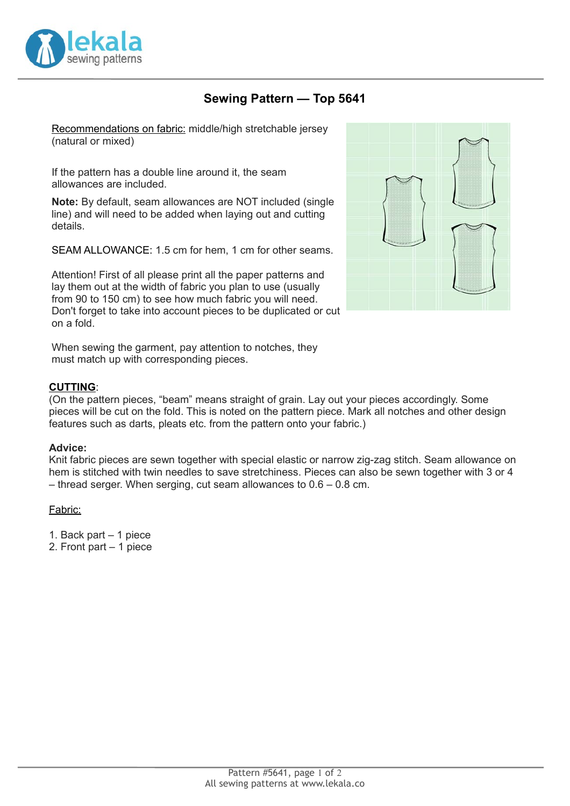

# **Sewing Pattern — Top 5641**

Recommendations on fabric: middle/high stretchable jersey (natural or mixed)

If the pattern has a double line around it, the seam allowances are included.

**Note:** By default, seam allowances are NOT included (single line) and will need to be added when laying out and cutting details.

SEAM ALLOWANCE: 1.5 cm for hem, 1 cm for other seams.

Attention! First of all please print all the paper patterns and lay them out at the width of fabric you plan to use (usually from 90 to 150 cm) to see how much fabric you will need. Don't forget to take into account pieces to be duplicated or cut on a fold.



When sewing the garment, pay attention to notches, they must match up with corresponding pieces.

#### **CUTTING**:

(On the pattern pieces, "beam" means straight of grain. Lay out your pieces accordingly. Some pieces will be cut on the fold. This is noted on the pattern piece. Mark all notches and other design features such as darts, pleats etc. from the pattern onto your fabric.)

#### **Advice:**

Knit fabric pieces are sewn together with special elastic or narrow zig-zag stitch. Seam allowance on hem is stitched with twin needles to save stretchiness. Pieces can also be sewn together with 3 or 4 – thread serger. When serging, cut seam allowances to 0.6 – 0.8 cm.

### Fabric:

- 1. Back part 1 piece
- 2. Front part 1 piece